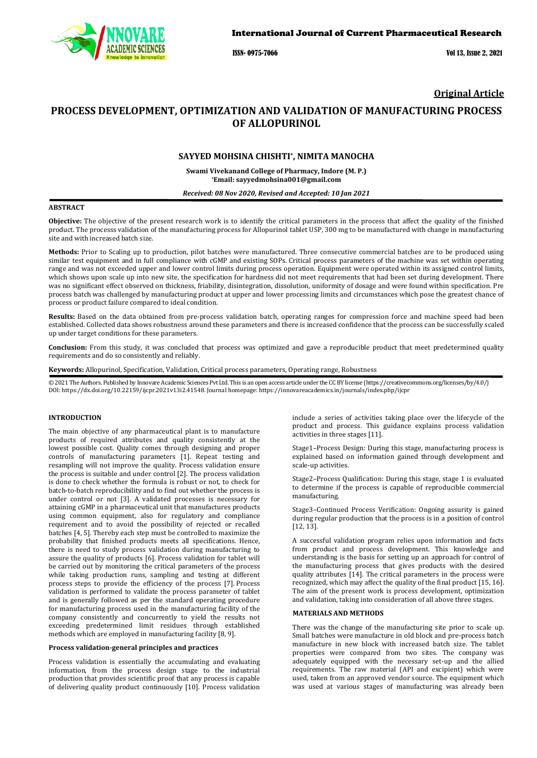

ISSN- 0975-7066 Vol 13, Issue 2, 2021

## **Original Article**

# **PROCESS DEVELOPMENT, OPTIMIZATION AND VALIDATION OF MANUFACTURING PROCESS OF ALLOPURINOL**

## **SAYYED MOHSINA CHISHTI\*, NIMITA MANOCHA**

**Swami Vivekanand College of Pharmacy, Indore (M. P.) \*Email[: sayyedmohsina001@gmail.com](mailto:sayyedmohsina001@gmail.com)**

#### *Received: 08 Nov 2020, Revised and Accepted: 10 Jan 2021*

## **ABSTRACT**

**Objective:** The objective of the present research work is to identify the critical parameters in the process that affect the quality of the finished product. The processs validation of the manufacturing process for Allopurinol tablet USP, 300 mg to be manufactured with change in manufacturing site and with increased batch size.

**Methods:** Prior to Scaling up to production, pilot batches were manufactured. Three consecutive commercial batches are to be produced using similar test equipment and in full compliance with cGMP and existing SOPs. Critical process parameters of the machine was set within operating range and was not exceeded upper and lower control limits during process operation. Equipment were operated within its assigned control limits, which shows upon scale up into new site, the specification for hardness did not meet requirements that had been set during development. There was no significant effect observed on thickness, friability, disintegration, dissolution, uniformity of dosage and were found within specification. Pre process batch was challenged by manufacturing product at upper and lower processing limits and circumstances which pose the greatest chance of process or product failure compared to ideal condition.

**Results:** Based on the data obtained from pre-process validation batch, operating ranges for compression force and machine speed had been established. Collected data shows robustness around these parameters and there is increased confidence that the process can be successfully scaled up under target conditions for these parameters.

**Conclusion:** From this study, it was concluded that process was optimized and gave a reproducible product that meet predetermined quality requirements and do so consistently and reliably.

**Keywords:** Allopurinol, Specification, Validation, Critical process parameters, Operating range, Robustness

© 2021 The Authors. Published by Innovare Academic Sciences Pvt Ltd. This is an open access article under the CC BY license [\(https://creativecommons.org/licenses/by/4.0/\)](https://creativecommons.org/licenses/by/4.0/) DOI: https://dx.doi.org/10.22159/ijcpr.2021v13i2.41548. Journal homepage[: https://innovareacademics.in/journals/index.php/ijcpr](https://innovareacademics.in/journals/index.php/ijcpr)

## **INTRODUCTION**

The main objective of any pharmaceutical plant is to manufacture products of required attributes and quality consistently at the lowest possible cost. Quality comes through designing and proper controls of manufacturing parameters [1]. Repeat testing and resampling will not improve the quality. Process validation ensure the process is suitable and under control [2]. The process validation is done to check whether the formula is robust or not, to check for batch-to-batch reproducibility and to find out whether the process is under control or not [3]. A validated processes is necessary for attaining cGMP in a pharmaceutical unit that manufactures products using common equipment, also for regulatory and compliance requirement and to avoid the possibility of rejected or recalled batches [4, 5]. Thereby each step must be controlled to maximize the probability that finished products meets all specifications. Hence, there is need to study process validation during manufacturing to assure the quality of products [6]. Process validation for tablet will be carried out by monitoring the critical parameters of the process while taking production runs, sampling and testing at different process steps to provide the efficiency of the process [7]. Process validation is performed to validate the process parameter of tablet and is generally followed as per the standard operating procedure for manufacturing process used in the manufacturing facility of the company consistently and concurrently to yield the results not exceeding predetermined limit residues through established methods which are employed in manufacturing facility [8, 9].

#### **Process validation-general principles and practices**

Process validation is essentially the accumulating and evaluating information, from the process design stage to the industrial production that provides scientific proof that any process is capable of delivering quality product continuously [10]. Process validation include a series of activities taking place over the lifecycle of the product and process. This guidance explains process validation activities in three stages [11].

Stage1*–*Process Design: During this stage, manufacturing process is explained based on information gained through development and scale-up activities.

Stage2*–*Process Qualification: During this stage, stage 1 is evaluated to determine if the process is capable of reproducible commercial manufacturing.

Stage3*–*Continued Process Verification: Ongoing assurity is gained during regular production that the process is in a position of control [12, 13].

A successful validation program relies upon information and facts from product and process development. This knowledge and understanding is the basis for setting up an approach for control of the manufacturing process that gives products with the desired quality attributes [14]. The critical parameters in the process were recognized, which may affect the quality of the final product [15, 16]. The aim of the present work is process development, optimization and validation, taking into consideration of all above three stages.

## **MATERIALS AND METHODS**

There was the change of the manufacturing site prior to scale up. Small batches were manufacture in old block and pre-process batch manufacture in new block with increased batch size. The tablet properties were compared from two sites. The company was adequately equipped with the necessary set-up and the allied requirements. The raw material (API and excipient) which were used, taken from an approved vendor source. The equipment which was used at various stages of manufacturing was already been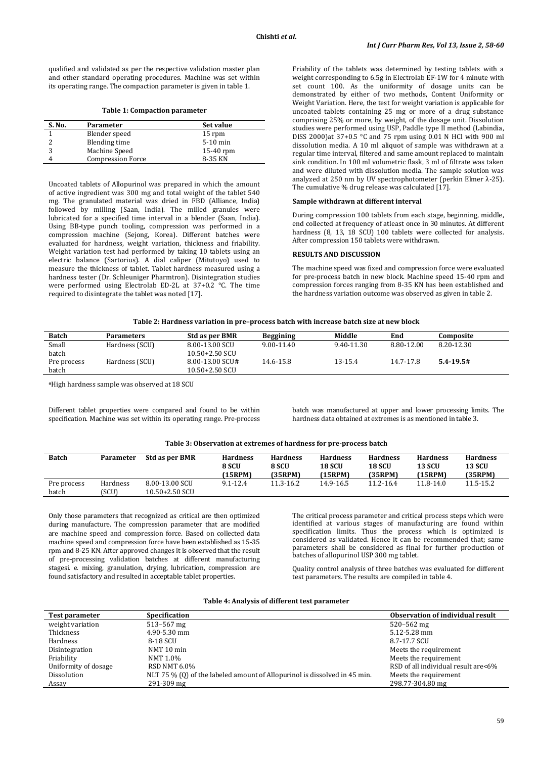qualified and validated as per the respective validation master plan and other standard operating procedures. Machine was set within its operating range. The compaction parameter is given in table 1.

**Table 1: Compaction parameter**

| S. No. | Parameter                | Set value  |
|--------|--------------------------|------------|
|        | Blender speed            | 15 rpm     |
|        | Blending time            | $5-10$ min |
|        | Machine Speed            | 15-40 rpm  |
|        | <b>Compression Force</b> | 8-35 KN    |

Uncoated tablets of Allopurinol was prepared in which the amount of active ingredient was 300 mg and total weight of the tablet 540 mg. The granulated material was dried in FBD (Alliance, India) followed by milling (Saan, India). The milled granules were lubricated for a specified time interval in a blender (Saan, India). Using BB-type punch tooling, compression was performed in a compression machine (Sejong, Korea). Different batches were evaluated for hardness, weight variation, thickness and friability. Weight variation test had performed by taking 10 tablets using an electric balance (Sartorius). A dial caliper (Mitutoyo) used to measure the thickness of tablet. Tablet hardness measured using a hardness tester (Dr. Schleuniger Pharmtron). Disintegration studies were performed using Electrolab ED-2L at 37+0.2 °C. The time required to disintegrate the tablet was noted [17].

Friability of the tablets was determined by testing tablets with a weight corresponding to 6.5g in Electrolab EF-1W for 4 minute with set count 100. As the uniformity of dosage units can be demonstrated by either of two methods, Content Uniformity or Weight Variation. Here, the test for weight variation is applicable for uncoated tablets containing 25 mg or more of a drug substance comprising 25% or more, by weight, of the dosage unit. Dissolution studies were performed using USP, Paddle type II method (Labindia, DISS 2000)at 37+0.5 °C and 75 rpm using 0.01 N HCl with 900 ml dissolution media. A 10 ml aliquot of sample was withdrawn at a regular time interval, filtered and same amount replaced to maintain sink condition. In 100 ml volumetric flask, 3 ml of filtrate was taken and were diluted with dissolution media. The sample solution was analyzed at 250 nm by UV spectrophotometer (perkin Elmer λ-25). The cumulative % drug release was calculated [17].

#### **Sample withdrawn at different interval**

During compression 100 tablets from each stage, beginning, middle, end collected at frequency of atleast once in 30 minutes. At different hardness (8, 13, 18 SCU) 100 tablets were collected for analysis. After compression 150 tablets were withdrawn.

#### **RESULTS AND DISCUSSION**

The machine speed was fixed and compression force were evaluated for pre-process batch in new block. Machine speed 15-40 rpm and compression forces ranging from 8-35 KN has been established and the hardness variation outcome was observed as given in table 2.

| <b>Batch</b> | <b>Parameters</b> | <b>Std as per BMR</b> | <b>Beggining</b> | Middle     | End        | Composite       |  |
|--------------|-------------------|-----------------------|------------------|------------|------------|-----------------|--|
| Small        | Hardness (SCU)    | 8.00-13.00 SCU        | $9.00 - 11.40$   | 9.40-11.30 | 8.80-12.00 | 8.20-12.30      |  |
| batch        |                   | $10.50 + 2.50$ SCU    |                  |            |            |                 |  |
| Pre process  | Hardness (SCU)    | 8.00-13.00 SCU#       | 14.6-15.8        | 13-15.4    | 14.7-17.8  | $5.4 - 19.5 \#$ |  |
| batch        |                   | $10.50 + 2.50$ SCU    |                  |            |            |                 |  |

#High hardness sample was observed at 18 SCU

Different tablet properties were compared and found to be within specification. Machine was set within its operating range. Pre-process

batch was manufactured at upper and lower processing limits. The hardness data obtained at extremes is as mentioned in table 3.

| Table 3: Observation at extremes of hardness for pre-process batch |  |
|--------------------------------------------------------------------|--|
|--------------------------------------------------------------------|--|

| <b>Batch</b>         | Parameter         | <b>Std as per BMR</b>                | <b>Hardness</b><br>8 SCU<br>(15RPM) | <b>Hardness</b><br>8 SCU<br>(35RPM) | <b>Hardness</b><br>18 SCU<br>(15RPM) | <b>Hardness</b><br><b>18 SCU</b><br>(35RPM) | <b>Hardness</b><br>13 SCU<br>(15RPM) | <b>Hardness</b><br><b>13 SCU</b><br>(35RPM) |
|----------------------|-------------------|--------------------------------------|-------------------------------------|-------------------------------------|--------------------------------------|---------------------------------------------|--------------------------------------|---------------------------------------------|
| Pre process<br>batch | Hardness<br>[SCU] | 8.00-13.00 SCU<br>$10.50 + 2.50$ SCU | $9.1 - 12.4$                        | 11.3-16.2                           | 14.9-16.5                            | 11.2-16.4                                   | 11.8-14.0                            | 11.5-15.2                                   |

Only those parameters that recognized as critical are then optimized during manufacture. The compression parameter that are modified are machine speed and compression force. Based on collected data machine speed and compression force have been established as 15-35 rpm and 8-25 KN. After approved changes it is observed that the result of pre-processing validation batches at different manufacturing stagesi. e. mixing, granulation, drying, lubrication, compression are found satisfactory and resulted in acceptable tablet properties.

The critical process parameter and critical process steps which were identified at various stages of manufacturing are found within specification limits. Thus the process which is optimized is considered as validated. Hence it can be recommended that; same parameters shall be considered as final for further production of batches of allopurinol USP 300 mg tablet.

Quality control analysis of three batches was evaluated for different test parameters. The results are compiled in table 4.

| <b>Test parameter</b> | Specification                                                             | Observation of individual result    |
|-----------------------|---------------------------------------------------------------------------|-------------------------------------|
| weight variation      | $513 - 567$ mg                                                            | $520 - 562$ mg                      |
| Thickness             | 4.90-5.30 mm                                                              | 5.12-5.28 mm                        |
| Hardness              | 8-18 SCU                                                                  | 8.7-17.7 SCU                        |
| Disintegration        | NMT 10 min                                                                | Meets the requirement               |
| Friability            | NMT 1.0%                                                                  | Meets the requirement               |
| Uniformity of dosage  | <b>RSD NMT 6.0%</b>                                                       | RSD of all individual result are<6% |
| Dissolution           | NLT 75 % (0) of the labeled amount of Allopurinol is dissolved in 45 min. | Meets the requirement               |
| Assay                 | 291-309 mg                                                                | 298.77-304.80 mg                    |

#### **Table 4: Analysis of different test parameter**